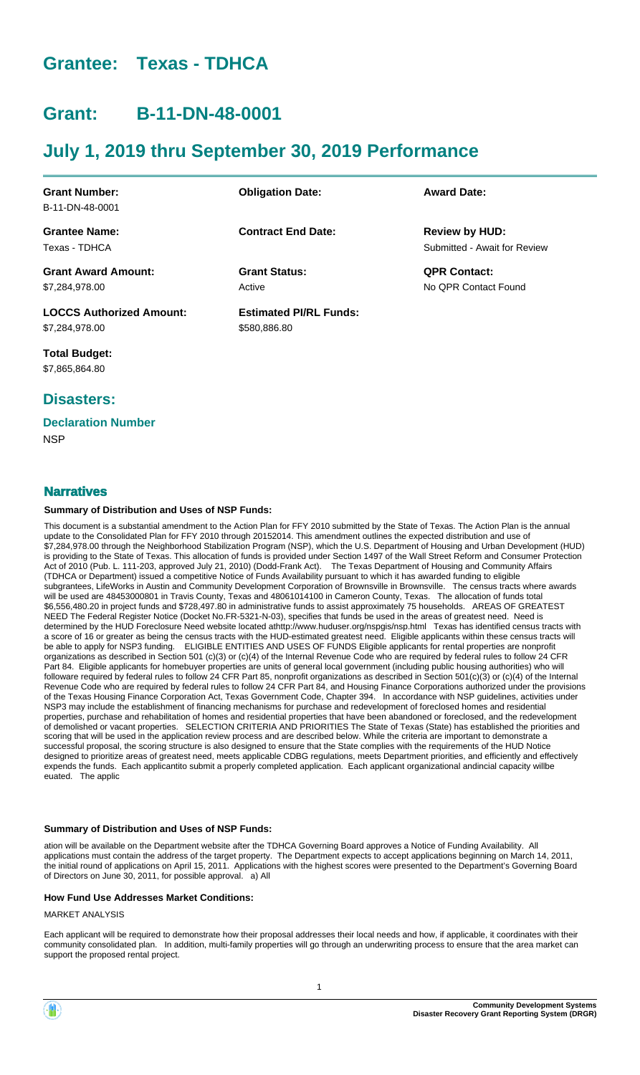# **Grantee: Texas - TDHCA**

# **Grant: B-11-DN-48-0001**

# **July 1, 2019 thru September 30, 2019 Performance**

| <b>Obligation Date:</b>       | <b>Award Date:</b>           |
|-------------------------------|------------------------------|
|                               |                              |
| <b>Contract End Date:</b>     | <b>Review by HUD:</b>        |
|                               | Submitted - Await for Review |
| <b>Grant Status:</b>          | <b>QPR Contact:</b>          |
| Active                        | No OPR Contact Found         |
| <b>Estimated PI/RL Funds:</b> |                              |
| \$580,886.80                  |                              |
|                               |                              |

**Total Budget:** \$7,865,864.80

# **Disasters:**

# **Declaration Number**

**NSP** 

# **Narratives**

### **Summary of Distribution and Uses of NSP Funds:**

This document is a substantial amendment to the Action Plan for FFY 2010 submitted by the State of Texas. The Action Plan is the annual update to the Consolidated Plan for FFY 2010 through 20152014. This amendment outlines the expected distribution and use of \$7,284,978.00 through the Neighborhood Stabilization Program (NSP), which the U.S. Department of Housing and Urban Development (HUD) is providing to the State of Texas. This allocation of funds is provided under Section 1497 of the Wall Street Reform and Consumer Protection Act of 2010 (Pub. L. 111-203, approved July 21, 2010) (Dodd-Frank Act). The Texas Department of Housing and Community Affairs (TDHCA or Department) issued a competitive Notice of Funds Availability pursuant to which it has awarded funding to eligible subgrantees, LifeWorks in Austin and Community Development Corporation of Brownsville in Brownsville. The census tracts where awards will be used are 48453000801 in Travis County, Texas and 48061014100 in Cameron County, Texas. The allocation of funds total \$6,556,480.20 in project funds and \$728,497.80 in administrative funds to assist approximately 75 households. AREAS OF GREATEST NEED The Federal Register Notice (Docket No.FR-5321-N-03), specifies that funds be used in the areas of greatest need. Need is determined by the HUD Foreclosure Need website located athttp://www.huduser.org/nspgis/nsp.html Texas has identified census tracts with a score of 16 or greater as being the census tracts with the HUD-estimated greatest need. Eligible applicants within these census tracts will be able to apply for NSP3 funding. ELIGIBLE ENTITIES AND USES OF FUNDS Eligible applicants for rental properties are nonprofit organizations as described in Section 501 (c)(3) or (c)(4) of the Internal Revenue Code who are required by federal rules to follow 24 CFR Part 84. Eligible applicants for homebuyer properties are units of general local government (including public housing authorities) who will followare required by federal rules to follow 24 CFR Part 85, nonprofit organizations as described in Section 501(c)(3) or (c)(4) of the Internal Revenue Code who are required by federal rules to follow 24 CFR Part 84, and Housing Finance Corporations authorized under the provisions of the Texas Housing Finance Corporation Act, Texas Government Code, Chapter 394. In accordance with NSP guidelines, activities under NSP3 may include the establishment of financing mechanisms for purchase and redevelopment of foreclosed homes and residential properties, purchase and rehabilitation of homes and residential properties that have been abandoned or foreclosed, and the redevelopment of demolished or vacant properties. SELECTION CRITERIA AND PRIORITIES The State of Texas (State) has established the priorities and scoring that will be used in the application review process and are described below. While the criteria are important to demonstrate a successful proposal, the scoring structure is also designed to ensure that the State complies with the requirements of the HUD Notice designed to prioritize areas of greatest need, meets applicable CDBG regulations, meets Department priorities, and efficiently and effectively expends the funds. Each applicantito submit a properly completed application. Each applicant organizational andincial capacity willbe euated. The applic

### **Summary of Distribution and Uses of NSP Funds:**

ation will be available on the Department website after the TDHCA Governing Board approves a Notice of Funding Availability. All applications must contain the address of the target property. The Department expects to accept applications beginning on March 14, 2011, the initial round of applications on April 15, 2011. Applications with the highest scores were presented to the Department's Governing Board of Directors on June 30, 2011, for possible approval. a) All

### **How Fund Use Addresses Market Conditions:**

MARKET ANALYSIS

Each applicant will be required to demonstrate how their proposal addresses their local needs and how, if applicable, it coordinates with their community consolidated plan. In addition, multi-family properties will go through an underwriting process to ensure that the area market can support the proposed rental project.

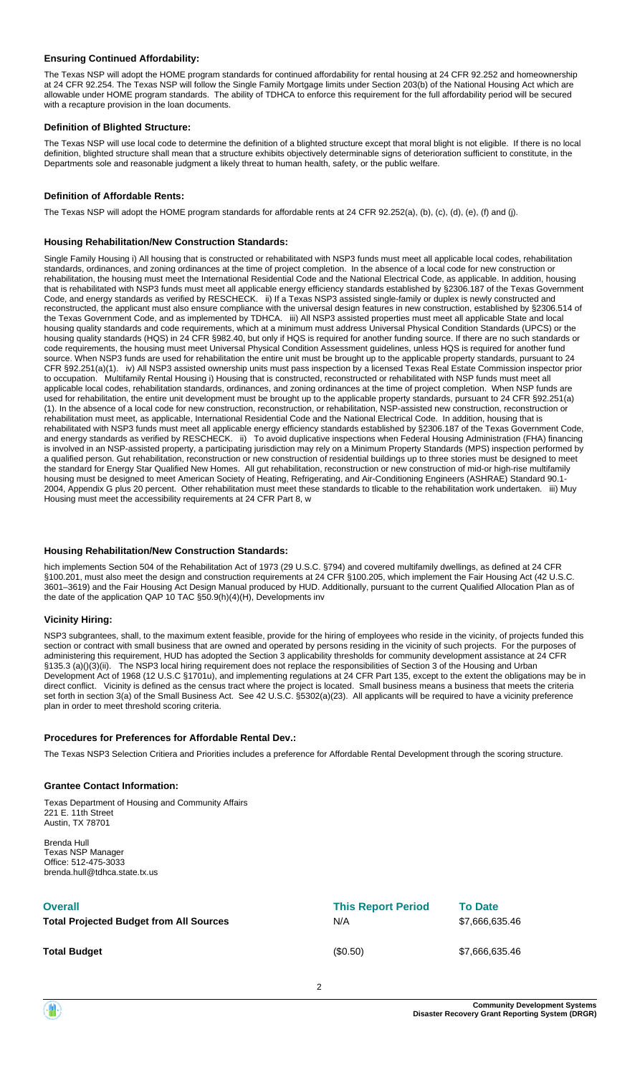### **Ensuring Continued Affordability:**

The Texas NSP will adopt the HOME program standards for continued affordability for rental housing at 24 CFR 92.252 and homeownership at 24 CFR 92.254. The Texas NSP will follow the Single Family Mortgage limits under Section 203(b) of the National Housing Act which are allowable under HOME program standards. The ability of TDHCA to enforce this requirement for the full affordability period will be secured with a recapture provision in the loan documents.

#### **Definition of Blighted Structure:**

The Texas NSP will use local code to determine the definition of a blighted structure except that moral blight is not eligible. If there is no local definition, blighted structure shall mean that a structure exhibits objectively determinable signs of deterioration sufficient to constitute, in the Departments sole and reasonable judgment a likely threat to human health, safety, or the public welfare.

#### **Definition of Affordable Rents:**

The Texas NSP will adopt the HOME program standards for affordable rents at 24 CFR 92.252(a), (b), (c), (d), (e), (f) and (j).

#### **Housing Rehabilitation/New Construction Standards:**

Single Family Housing i) All housing that is constructed or rehabilitated with NSP3 funds must meet all applicable local codes, rehabilitation standards, ordinances, and zoning ordinances at the time of project completion. In the absence of a local code for new construction or rehabilitation, the housing must meet the International Residential Code and the National Electrical Code, as applicable. In addition, housing that is rehabilitated with NSP3 funds must meet all applicable energy efficiency standards established by §2306.187 of the Texas Government Code, and energy standards as verified by RESCHECK. ii) If a Texas NSP3 assisted single-family or duplex is newly constructed and reconstructed, the applicant must also ensure compliance with the universal design features in new construction, established by §2306.514 of the Texas Government Code, and as implemented by TDHCA. iii) All NSP3 assisted properties must meet all applicable State and local housing quality standards and code requirements, which at a minimum must address Universal Physical Condition Standards (UPCS) or the housing quality standards (HQS) in 24 CFR §982.40, but only if HQS is required for another funding source. If there are no such standards or code requirements, the housing must meet Universal Physical Condition Assessment guidelines, unless HQS is required for another fund source. When NSP3 funds are used for rehabilitation the entire unit must be brought up to the applicable property standards, pursuant to 24 CFR §92.251(a)(1). iv) All NSP3 assisted ownership units must pass inspection by a licensed Texas Real Estate Commission inspector prior to occupation. Multifamily Rental Housing i) Housing that is constructed, reconstructed or rehabilitated with NSP funds must meet all applicable local codes, rehabilitation standards, ordinances, and zoning ordinances at the time of project completion. When NSP funds are used for rehabilitation, the entire unit development must be brought up to the applicable property standards, pursuant to 24 CFR §92.251(a) (1). In the absence of a local code for new construction, reconstruction, or rehabilitation, NSP-assisted new construction, reconstruction or rehabilitation must meet, as applicable, International Residential Code and the National Electrical Code. In addition, housing that is rehabilitated with NSP3 funds must meet all applicable energy efficiency standards established by §2306.187 of the Texas Government Code, and energy standards as verified by RESCHECK. ii) To avoid duplicative inspections when Federal Housing Administration (FHA) financing is involved in an NSP-assisted property, a participating jurisdiction may rely on a Minimum Property Standards (MPS) inspection performed by a qualified person. Gut rehabilitation, reconstruction or new construction of residential buildings up to three stories must be designed to meet the standard for Energy Star Qualified New Homes. All gut rehabilitation, reconstruction or new construction of mid-or high-rise multifamily housing must be designed to meet American Society of Heating, Refrigerating, and Air-Conditioning Engineers (ASHRAE) Standard 90.1- 2004, Appendix G plus 20 percent. Other rehabilitation must meet these standards to tlicable to the rehabilitation work undertaken. iii) Muy Housing must meet the accessibility requirements at 24 CFR Part 8, w

### **Housing Rehabilitation/New Construction Standards:**

hich implements Section 504 of the Rehabilitation Act of 1973 (29 U.S.C. §794) and covered multifamily dwellings, as defined at 24 CFR §100.201, must also meet the design and construction requirements at 24 CFR §100.205, which implement the Fair Housing Act (42 U.S.C. 3601–3619) and the Fair Housing Act Design Manual produced by HUD. Additionally, pursuant to the current Qualified Allocation Plan as of the date of the application QAP 10 TAC §50.9(h)(4)(H), Developments inv

#### **Vicinity Hiring:**

NSP3 subgrantees, shall, to the maximum extent feasible, provide for the hiring of employees who reside in the vicinity, of projects funded this section or contract with small business that are owned and operated by persons residing in the vicinity of such projects. For the purposes of administering this requirement, HUD has adopted the Section 3 applicability thresholds for community development assistance at 24 CFR §135.3 (a)()(3)(ii). The NSP3 local hiring requirement does not replace the responsibilities of Section 3 of the Housing and Urban Development Act of 1968 (12 U.S.C §1701u), and implementing regulations at 24 CFR Part 135, except to the extent the obligations may be in direct conflict. Vicinity is defined as the census tract where the project is located. Small business means a business that meets the criteria set forth in section 3(a) of the Small Business Act. See 42 U.S.C. §5302(a)(23). All applicants will be required to have a vicinity preference plan in order to meet threshold scoring criteria.

#### **Procedures for Preferences for Affordable Rental Dev.:**

The Texas NSP3 Selection Critiera and Priorities includes a preference for Affordable Rental Development through the scoring structure.

#### **Grantee Contact Information:**

Texas Department of Housing and Community Affairs 221 E. 11th Street Austin, TX 78701

Brenda Hull Texas NSP Manager Office: 512-475-3033 brenda.hull@tdhca.state.tx.us

| <b>Overall</b>                                 | <b>This Report Period</b> | <b>To Date</b> |
|------------------------------------------------|---------------------------|----------------|
| <b>Total Projected Budget from All Sources</b> | N/A                       | \$7,666,635.46 |
| <b>Total Budget</b>                            | (\$0.50)                  | \$7,666,635.46 |

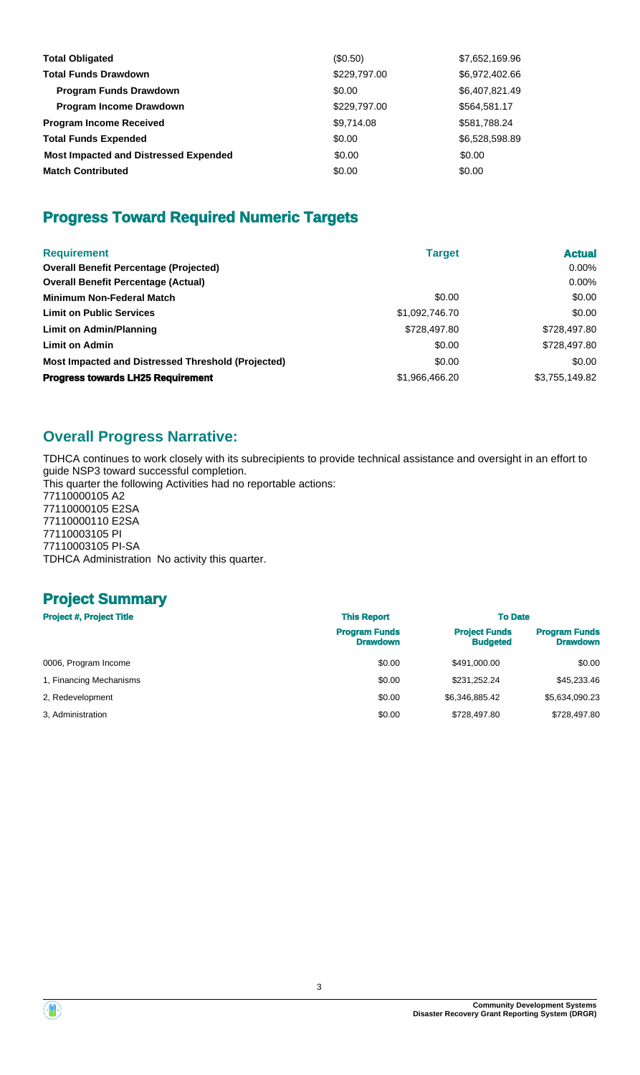| <b>Total Obligated</b>                       | (S0.50)      | \$7,652,169.96 |
|----------------------------------------------|--------------|----------------|
| <b>Total Funds Drawdown</b>                  | \$229,797.00 | \$6,972,402.66 |
| <b>Program Funds Drawdown</b>                | \$0.00       | \$6,407,821.49 |
| <b>Program Income Drawdown</b>               | \$229,797.00 | \$564,581.17   |
| <b>Program Income Received</b>               | \$9,714.08   | \$581,788.24   |
| <b>Total Funds Expended</b>                  | \$0.00       | \$6,528,598.89 |
| <b>Most Impacted and Distressed Expended</b> | \$0.00       | \$0.00         |
| <b>Match Contributed</b>                     | \$0.00       | \$0.00         |

# **Progress Toward Required Numeric Targets**

| <b>Requirement</b>                                 | <b>Target</b>  | <b>Actual</b>  |
|----------------------------------------------------|----------------|----------------|
| <b>Overall Benefit Percentage (Projected)</b>      |                | $0.00\%$       |
| <b>Overall Benefit Percentage (Actual)</b>         |                | $0.00\%$       |
| <b>Minimum Non-Federal Match</b>                   | \$0.00         | \$0.00         |
| <b>Limit on Public Services</b>                    | \$1,092,746.70 | \$0.00         |
| Limit on Admin/Planning                            | \$728,497.80   | \$728,497.80   |
| <b>Limit on Admin</b>                              | \$0.00         | \$728,497.80   |
| Most Impacted and Distressed Threshold (Projected) | \$0.00         | \$0.00         |
| <b>Progress towards LH25 Requirement</b>           | \$1,966,466.20 | \$3,755,149.82 |

# **Overall Progress Narrative:**

TDHCA continues to work closely with its subrecipients to provide technical assistance and oversight in an effort to guide NSP3 toward successful completion. This quarter the following Activities had no reportable actions:

77110000105 A2 77110000105 E2SA 77110000110 E2SA 77110003105 PI 77110003105 PI-SA TDHCA Administration No activity this quarter.

# **Project Summary**

| <b>Project #, Project Title</b> | <b>This Report</b>                      | <b>To Date</b>                          |                                         |
|---------------------------------|-----------------------------------------|-----------------------------------------|-----------------------------------------|
|                                 | <b>Program Funds</b><br><b>Drawdown</b> | <b>Project Funds</b><br><b>Budgeted</b> | <b>Program Funds</b><br><b>Drawdown</b> |
| 0006, Program Income            | \$0.00                                  | \$491,000.00                            | \$0.00                                  |
| 1, Financing Mechanisms         | \$0.00                                  | \$231.252.24                            | \$45,233,46                             |
| 2, Redevelopment                | \$0.00                                  | \$6,346,885.42                          | \$5,634,090.23                          |
| 3. Administration               | \$0.00                                  | \$728,497.80                            | \$728.497.80                            |

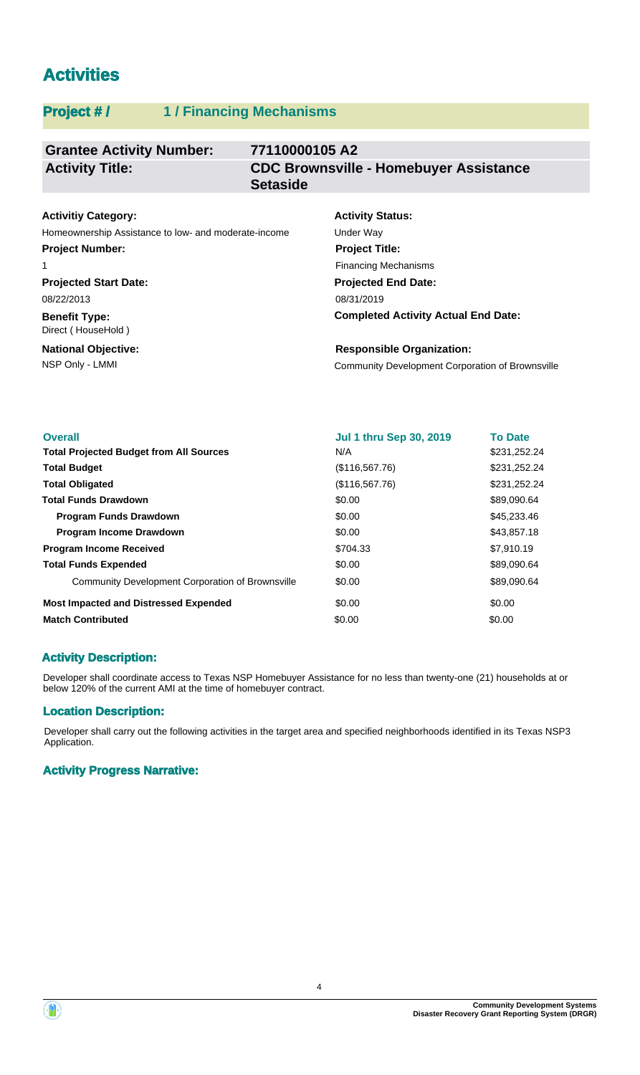# **Activities**

# **Project # / 1 / Financing Mechanisms**

#### **Grantee Activity Number: 77110000105 A2 CDC Brownsville - Homebuyer Assistance Setaside Activity Title:**

# **Activitiy Category:**

Homeownership Assistance to low- and moderate-income Under Way **Project Number:**

#### 1

**Projected Start Date:** 08/22/2013

### **Benefit Type:** Direct ( HouseHold )

**National Objective:**

# **Activity Status: Projected End Date: Project Title:** Financing Mechanisms

08/31/2019

**Completed Activity Actual End Date:**

NSP Only - LMMI Community Development Corporation of Brownsville **Responsible Organization:**

| <b>Overall</b>                                          | <b>Jul 1 thru Sep 30, 2019</b> | <b>To Date</b> |
|---------------------------------------------------------|--------------------------------|----------------|
| <b>Total Projected Budget from All Sources</b>          | N/A                            | \$231,252.24   |
| <b>Total Budget</b>                                     | (\$116,567.76)                 | \$231,252.24   |
| <b>Total Obligated</b>                                  | (\$116,567.76)                 | \$231,252.24   |
| <b>Total Funds Drawdown</b>                             | \$0.00                         | \$89,090.64    |
| <b>Program Funds Drawdown</b>                           | \$0.00                         | \$45,233.46    |
| <b>Program Income Drawdown</b>                          | \$0.00                         | \$43,857.18    |
| <b>Program Income Received</b>                          | \$704.33                       | \$7,910.19     |
| <b>Total Funds Expended</b>                             | \$0.00                         | \$89,090.64    |
| <b>Community Development Corporation of Brownsville</b> | \$0.00                         | \$89,090.64    |
| <b>Most Impacted and Distressed Expended</b>            | \$0.00                         | \$0.00         |
| <b>Match Contributed</b>                                | \$0.00                         | \$0.00         |

# **Activity Description:**

Developer shall coordinate access to Texas NSP Homebuyer Assistance for no less than twenty-one (21) households at or below 120% of the current AMI at the time of homebuyer contract.

# **Location Description:**

Developer shall carry out the following activities in the target area and specified neighborhoods identified in its Texas NSP3 Application.

# **Activity Progress Narrative:**

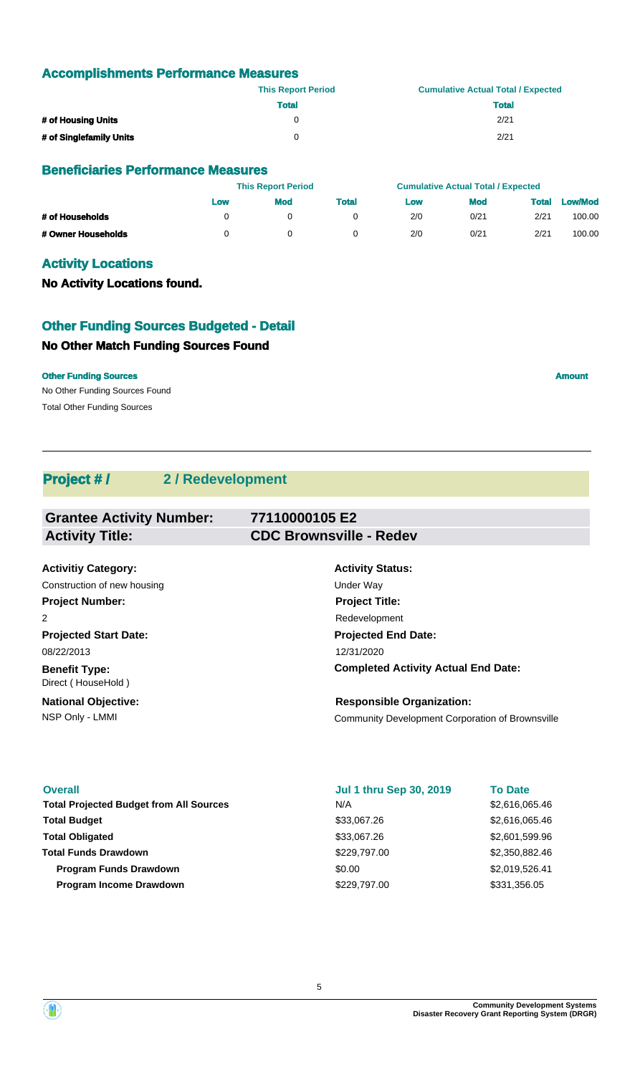## **Accomplishments Performance Measures**

|                         | <b>This Report Period</b> | <b>Cumulative Actual Total / Expected</b> |
|-------------------------|---------------------------|-------------------------------------------|
|                         | <b>Total</b>              | Total                                     |
| # of Housing Units      | 0                         | 2/21                                      |
| # of Singlefamily Units | 0                         | 2/21                                      |

### **Beneficiaries Performance Measures**

|                    | <b>This Report Period</b> |     |              | <b>Cumulative Actual Total / Expected</b> |            |       |                |
|--------------------|---------------------------|-----|--------------|-------------------------------------------|------------|-------|----------------|
|                    | Low                       | Mod | <b>Total</b> | Low                                       | <b>Mod</b> | Total | <b>Low/Mod</b> |
| # of Households    |                           |     |              | 2/0                                       | 0/21       | 2/21  | 100.00         |
| # Owner Households |                           |     |              | 2/0                                       | 0/21       | 2/21  | 100.00         |

# **Activity Locations**

**No Activity Locations found.**

# **Other Funding Sources Budgeted - Detail**

# **No Other Match Funding Sources Found**

No Other Funding Sources Found **Other Funding Sources Amount Amount Amount Amount Amount Amount Amount** 

Total Other Funding Sources

**Project # / 2 / Redevelopment**

| <b>Grantee Activity Number:</b>            | 77110000105 E2                             |
|--------------------------------------------|--------------------------------------------|
| <b>Activity Title:</b>                     | <b>CDC Brownsville - Redev</b>             |
|                                            |                                            |
| <b>Activitiy Category:</b>                 | <b>Activity Status:</b>                    |
| Construction of new housing                | Under Way                                  |
| <b>Project Number:</b>                     | <b>Project Title:</b>                      |
| 2                                          | Redevelopment                              |
| <b>Projected Start Date:</b>               | <b>Projected End Date:</b>                 |
| 08/22/2013                                 | 12/31/2020                                 |
| <b>Benefit Type:</b><br>Direct (HouseHold) | <b>Completed Activity Actual End Date:</b> |

NSP Only - LMMI **NATE Only - LMMI** Community Development Corporation of Brownsville **National Objective:**

### **Overall**

Total Projected Budget from All Sources **\$2,616,065.46** \$2,616,065.46 **Total Budget Program Income Drawdown Total Funds Drawdown Total Obligated Program Funds Drawdown**  $\text{0.00}$  \$2,019,526.41

### **Jul 1 thru Sep 30, 2019**

**Responsible Organization:**

\$33,067.26 \$229,797.00 \$229,797.00 N/A \$33,067.26

**To Date**

\$2,616,065.46 \$2,601,599.96 \$331,356.05 \$2,350,882.46

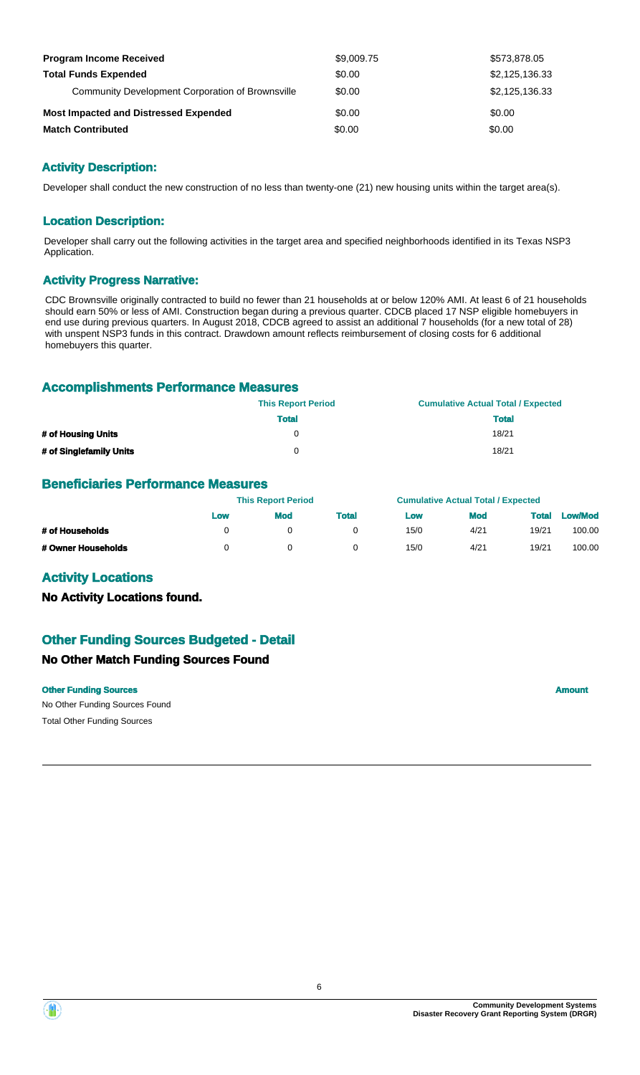| <b>Program Income Received</b>                   | \$9,009.75 | \$573,878.05   |
|--------------------------------------------------|------------|----------------|
| <b>Total Funds Expended</b>                      | \$0.00     | \$2,125,136.33 |
| Community Development Corporation of Brownsville | \$0.00     | \$2,125,136.33 |
| <b>Most Impacted and Distressed Expended</b>     | \$0.00     | \$0.00         |
| <b>Match Contributed</b>                         | \$0.00     | \$0.00         |

# **Activity Description:**

Developer shall conduct the new construction of no less than twenty-one (21) new housing units within the target area(s).

### **Location Description:**

Developer shall carry out the following activities in the target area and specified neighborhoods identified in its Texas NSP3 Application.

### **Activity Progress Narrative:**

CDC Brownsville originally contracted to build no fewer than 21 households at or below 120% AMI. At least 6 of 21 households should earn 50% or less of AMI. Construction began during a previous quarter. CDCB placed 17 NSP eligible homebuyers in end use during previous quarters. In August 2018, CDCB agreed to assist an additional 7 households (for a new total of 28) with unspent NSP3 funds in this contract. Drawdown amount reflects reimbursement of closing costs for 6 additional homebuyers this quarter.

### **Accomplishments Performance Measures**

|                         | <b>This Report Period</b> | <b>Cumulative Actual Total / Expected</b> |
|-------------------------|---------------------------|-------------------------------------------|
|                         | <b>Total</b>              | Total                                     |
| # of Housing Units      | 0                         | 18/21                                     |
| # of Singlefamily Units | 0                         | 18/21                                     |

### **Beneficiaries Performance Measures**

|                    | <b>This Report Period</b> |     |              | <b>Cumulative Actual Total / Expected</b> |            |              |                |
|--------------------|---------------------------|-----|--------------|-------------------------------------------|------------|--------------|----------------|
|                    | Low                       | Mod | <b>Total</b> | Low                                       | <b>Mod</b> | <b>Total</b> | <b>Low/Mod</b> |
| # of Households    |                           |     |              | 15/0                                      | 4/21       | 19/21        | 100.00         |
| # Owner Households |                           | 0   |              | 15/0                                      | 4/21       | 19/21        | 100.00         |

### **Activity Locations**

**No Activity Locations found.**

# **Other Funding Sources Budgeted - Detail**

### **No Other Match Funding Sources Found**

### **Other Funding Sources Amount Amount Amount Amount Amount Amount Amount**

No Other Funding Sources Found Total Other Funding Sources

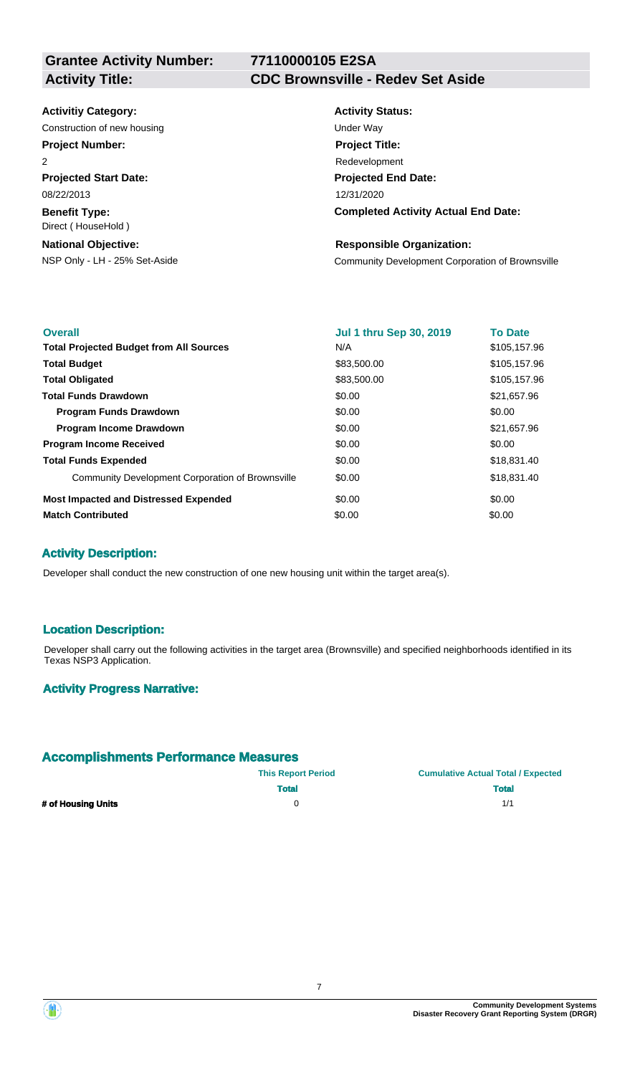**Grantee Activity Number:**

# **77110000105 E2SA**

# **Activity Title: CDC Brownsville - Redev Set Aside**

### **Activitiy Category:**

Construction of new housing Theorem 2012 Construction of the Way

# **Project Number:**

2

**Projected Start Date:** 08/22/2013

**Benefit Type:** Direct ( HouseHold )

## **National Objective:**

# **Activity Status: Projected End Date: Completed Activity Actual End Date:** 12/31/2020 **Project Title:** Redevelopment

### **Responsible Organization:**

NSP Only - LH - 25% Set-Aside Community Development Corporation of Brownsville

| <b>Overall</b>                                   | <b>Jul 1 thru Sep 30, 2019</b> | <b>To Date</b> |
|--------------------------------------------------|--------------------------------|----------------|
| <b>Total Projected Budget from All Sources</b>   | N/A                            | \$105,157.96   |
| <b>Total Budget</b>                              | \$83,500.00                    | \$105,157.96   |
| <b>Total Obligated</b>                           | \$83,500.00                    | \$105,157.96   |
| <b>Total Funds Drawdown</b>                      | \$0.00                         | \$21,657.96    |
| <b>Program Funds Drawdown</b>                    | \$0.00                         | \$0.00         |
| <b>Program Income Drawdown</b>                   | \$0.00                         | \$21,657.96    |
| <b>Program Income Received</b>                   | \$0.00                         | \$0.00         |
| <b>Total Funds Expended</b>                      | \$0.00                         | \$18,831.40    |
| Community Development Corporation of Brownsville | \$0.00                         | \$18,831.40    |
| <b>Most Impacted and Distressed Expended</b>     | \$0.00                         | \$0.00         |
| <b>Match Contributed</b>                         | \$0.00                         | \$0.00         |

# **Activity Description:**

Developer shall conduct the new construction of one new housing unit within the target area(s).

### **Location Description:**

Developer shall carry out the following activities in the target area (Brownsville) and specified neighborhoods identified in its Texas NSP3 Application.

### **Activity Progress Narrative:**

### **Accomplishments Performance Measures**

|                    | <b>This Report Period</b> | <b>Cumulative Actual Total / Expected</b> |  |  |
|--------------------|---------------------------|-------------------------------------------|--|--|
|                    | <b>Total</b>              | <b>Total</b>                              |  |  |
| # of Housing Units |                           | 1/1                                       |  |  |